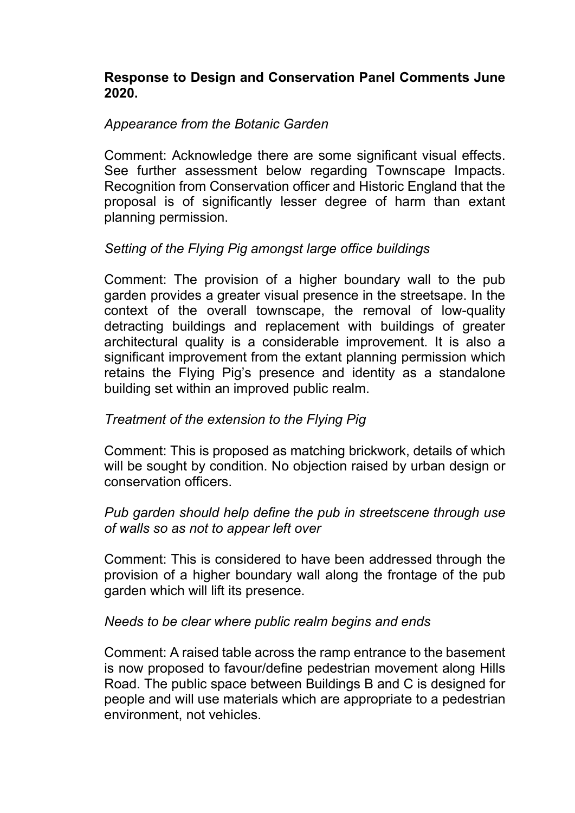## Response to Design and Conservation Panel Comments June 2020.

### Appearance from the Botanic Garden

 Comment: Acknowledge there are some significant visual effects. See further assessment below regarding Townscape Impacts. Recognition from Conservation officer and Historic England that the proposal is of significantly lesser degree of harm than extant planning permission.

## Setting of the Flying Pig amongst large office buildings

 Comment: The provision of a higher boundary wall to the pub garden provides a greater visual presence in the streetsape. In the context of the overall townscape, the removal of low-quality detracting buildings and replacement with buildings of greater architectural quality is a considerable improvement. It is also a significant improvement from the extant planning permission which retains the Flying Pig's presence and identity as a standalone building set within an improved public realm.

## Treatment of the extension to the Flying Pig

 Comment: This is proposed as matching brickwork, details of which will be sought by condition. No objection raised by urban design or conservation officers.

### Pub garden should help define the pub in streetscene through use of walls so as not to appear left over

 Comment: This is considered to have been addressed through the provision of a higher boundary wall along the frontage of the pub garden which will lift its presence.

#### Needs to be clear where public realm begins and ends

 Comment: A raised table across the ramp entrance to the basement is now proposed to favour/define pedestrian movement along Hills Road. The public space between Buildings B and C is designed for people and will use materials which are appropriate to a pedestrian environment, not vehicles.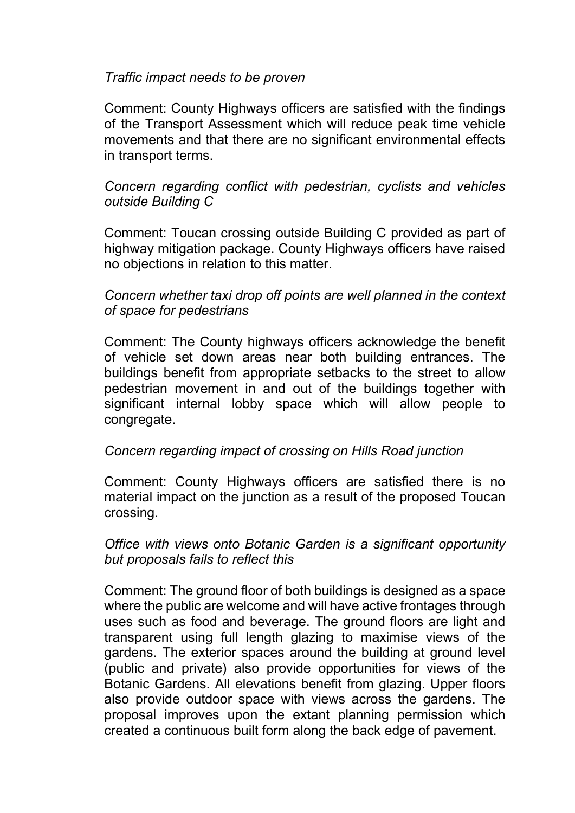### Traffic impact needs to be proven

 Comment: County Highways officers are satisfied with the findings of the Transport Assessment which will reduce peak time vehicle movements and that there are no significant environmental effects in transport terms.

## Concern regarding conflict with pedestrian, cyclists and vehicles outside Building C

 Comment: Toucan crossing outside Building C provided as part of highway mitigation package. County Highways officers have raised no objections in relation to this matter.

# Concern whether taxi drop off points are well planned in the context of space for pedestrians

 Comment: The County highways officers acknowledge the benefit of vehicle set down areas near both building entrances. The buildings benefit from appropriate setbacks to the street to allow pedestrian movement in and out of the buildings together with significant internal lobby space which will allow people to congregate.

## Concern regarding impact of crossing on Hills Road junction

 Comment: County Highways officers are satisfied there is no material impact on the junction as a result of the proposed Toucan crossing.

## Office with views onto Botanic Garden is a significant opportunity but proposals fails to reflect this

 Comment: The ground floor of both buildings is designed as a space where the public are welcome and will have active frontages through uses such as food and beverage. The ground floors are light and transparent using full length glazing to maximise views of the gardens. The exterior spaces around the building at ground level (public and private) also provide opportunities for views of the Botanic Gardens. All elevations benefit from glazing. Upper floors also provide outdoor space with views across the gardens. The proposal improves upon the extant planning permission which created a continuous built form along the back edge of pavement.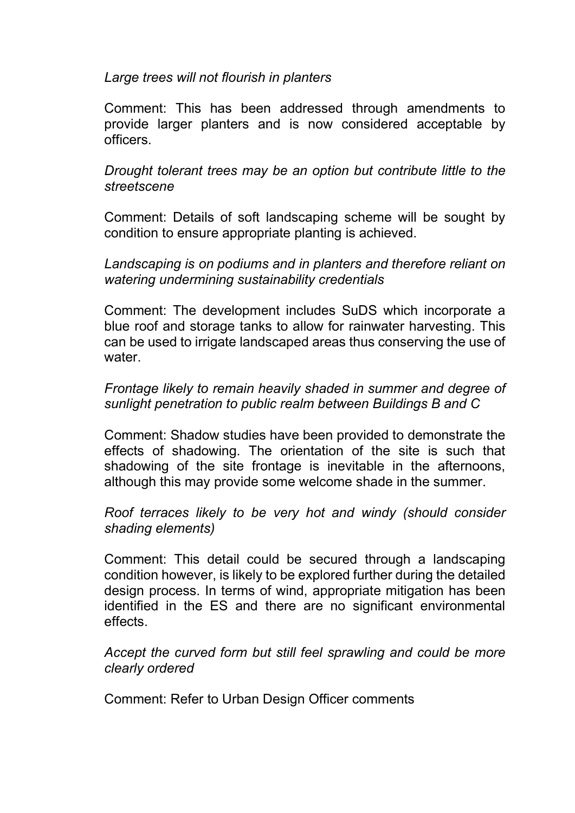### Large trees will not flourish in planters

 Comment: This has been addressed through amendments to provide larger planters and is now considered acceptable by officers.

Drought tolerant trees may be an option but contribute little to the streetscene

 Comment: Details of soft landscaping scheme will be sought by condition to ensure appropriate planting is achieved.

Landscaping is on podiums and in planters and therefore reliant on watering undermining sustainability credentials

 Comment: The development includes SuDS which incorporate a blue roof and storage tanks to allow for rainwater harvesting. This can be used to irrigate landscaped areas thus conserving the use of water.

## Frontage likely to remain heavily shaded in summer and degree of sunlight penetration to public realm between Buildings B and C

 Comment: Shadow studies have been provided to demonstrate the effects of shadowing. The orientation of the site is such that shadowing of the site frontage is inevitable in the afternoons, although this may provide some welcome shade in the summer.

### Roof terraces likely to be very hot and windy (should consider shading elements)

 Comment: This detail could be secured through a landscaping condition however, is likely to be explored further during the detailed design process. In terms of wind, appropriate mitigation has been identified in the ES and there are no significant environmental effects.

### Accept the curved form but still feel sprawling and could be more clearly ordered

Comment: Refer to Urban Design Officer comments